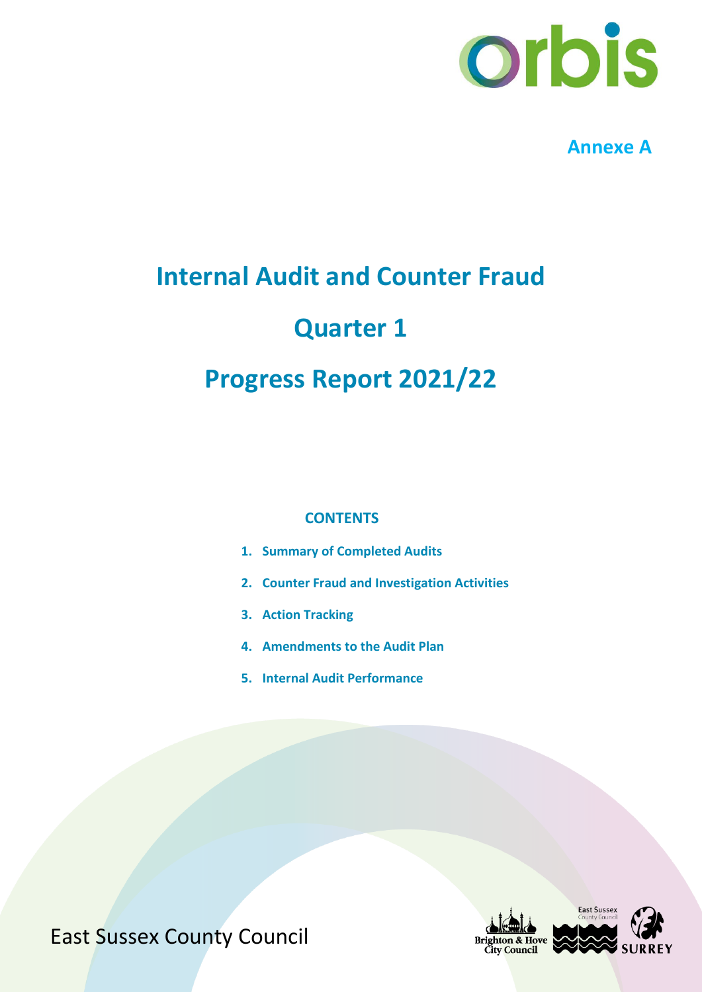

**Annexe A**

## **Internal Audit and Counter Fraud**

## **Quarter 1**

## **Progress Report 2021/22**

#### **CONTENTS**

- **1. Summary of Completed Audits**
- **2. Counter Fraud and Investigation Activities**
- **3. Action Tracking**
- **4. Amendments to the Audit Plan**
- **5. Internal Audit Performance**

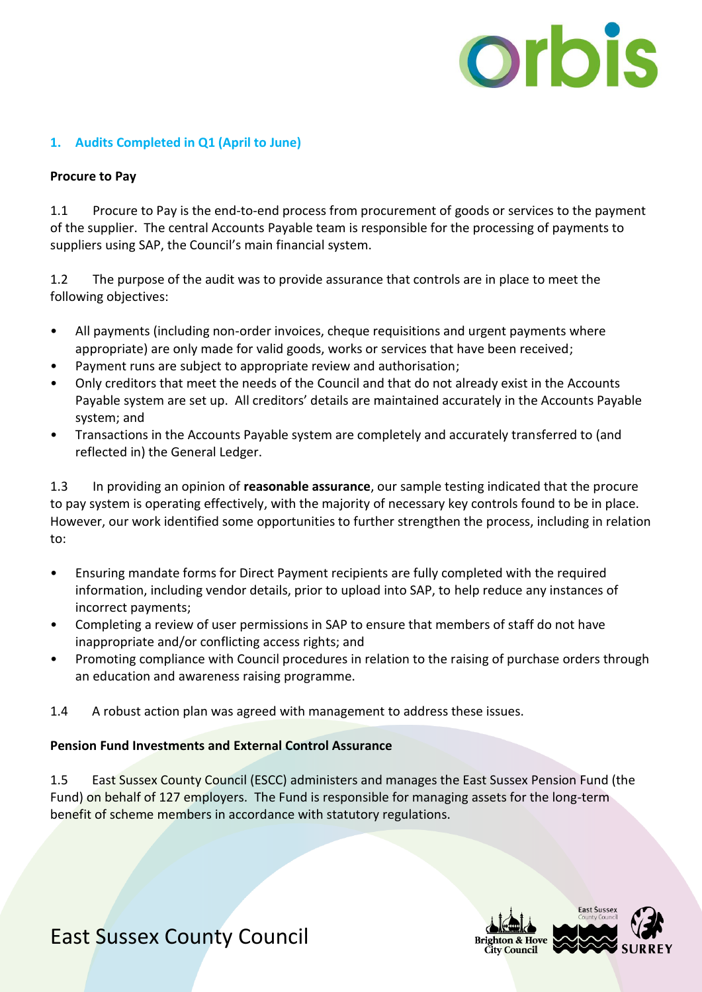

#### **1. Audits Completed in Q1 (April to June)**

#### **Procure to Pay**

1.1 Procure to Pay is the end-to-end process from procurement of goods or services to the payment of the supplier. The central Accounts Payable team is responsible for the processing of payments to suppliers using SAP, the Council's main financial system.

1.2 The purpose of the audit was to provide assurance that controls are in place to meet the following objectives:

- All payments (including non-order invoices, cheque requisitions and urgent payments where appropriate) are only made for valid goods, works or services that have been received;
- Payment runs are subject to appropriate review and authorisation;
- Only creditors that meet the needs of the Council and that do not already exist in the Accounts Payable system are set up. All creditors' details are maintained accurately in the Accounts Payable system; and
- Transactions in the Accounts Payable system are completely and accurately transferred to (and reflected in) the General Ledger.

1.3 In providing an opinion of **reasonable assurance**, our sample testing indicated that the procure to pay system is operating effectively, with the majority of necessary key controls found to be in place. However, our work identified some opportunities to further strengthen the process, including in relation to:

- Ensuring mandate forms for Direct Payment recipients are fully completed with the required information, including vendor details, prior to upload into SAP, to help reduce any instances of incorrect payments;
- Completing a review of user permissions in SAP to ensure that members of staff do not have inappropriate and/or conflicting access rights; and
- Promoting compliance with Council procedures in relation to the raising of purchase orders through an education and awareness raising programme.
- 1.4 A robust action plan was agreed with management to address these issues.

#### **Pension Fund Investments and External Control Assurance**

1.5 East Sussex County Council (ESCC) administers and manages the East Sussex Pension Fund (the Fund) on behalf of 127 employers. The Fund is responsible for managing assets for the long-term benefit of scheme members in accordance with statutory regulations.

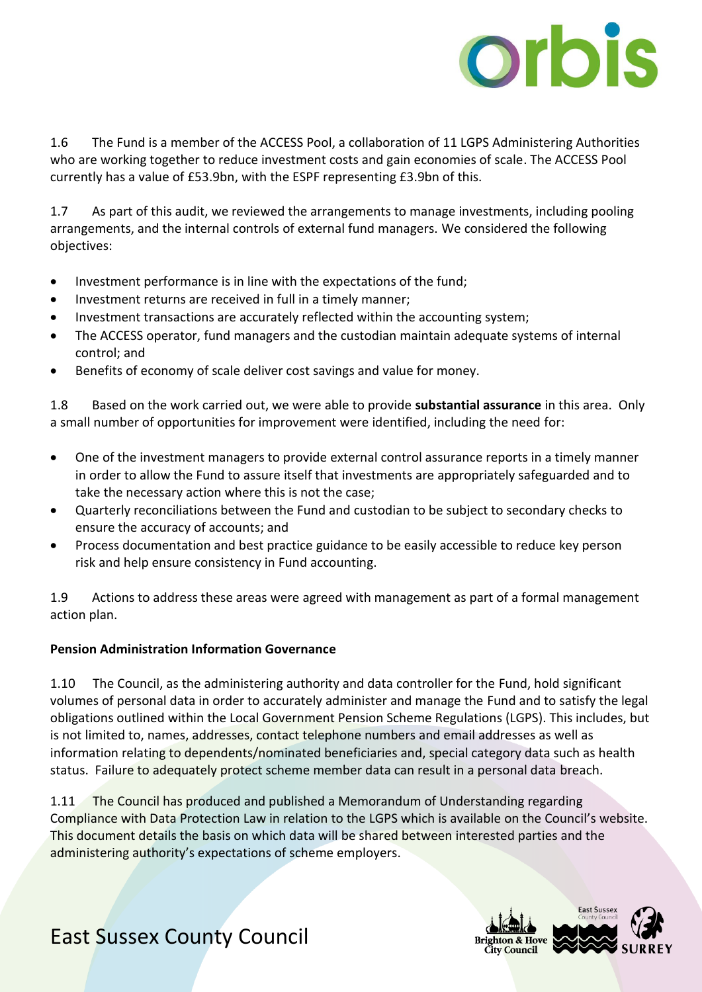

1.6 The Fund is a member of the ACCESS Pool, a collaboration of 11 LGPS Administering Authorities who are working together to reduce investment costs and gain economies of scale. The ACCESS Pool currently has a value of £53.9bn, with the ESPF representing £3.9bn of this.

1.7 As part of this audit, we reviewed the arrangements to manage investments, including pooling arrangements, and the internal controls of external fund managers. We considered the following objectives:

- Investment performance is in line with the expectations of the fund;
- Investment returns are received in full in a timely manner;
- Investment transactions are accurately reflected within the accounting system;
- The ACCESS operator, fund managers and the custodian maintain adequate systems of internal control; and
- Benefits of economy of scale deliver cost savings and value for money.

1.8 Based on the work carried out, we were able to provide **substantial assurance** in this area. Only a small number of opportunities for improvement were identified, including the need for:

- One of the investment managers to provide external control assurance reports in a timely manner in order to allow the Fund to assure itself that investments are appropriately safeguarded and to take the necessary action where this is not the case;
- Quarterly reconciliations between the Fund and custodian to be subject to secondary checks to ensure the accuracy of accounts; and
- Process documentation and best practice guidance to be easily accessible to reduce key person risk and help ensure consistency in Fund accounting.

1.9 Actions to address these areas were agreed with management as part of a formal management action plan.

#### **Pension Administration Information Governance**

1.10 The Council, as the administering authority and data controller for the Fund, hold significant volumes of personal data in order to accurately administer and manage the Fund and to satisfy the legal obligations outlined within the Local Government Pension Scheme Regulations (LGPS). This includes, but is not limited to, names, addresses, contact telephone numbers and email addresses as well as information relating to dependents/nominated beneficiaries and, special category data such as health status. Failure to adequately protect scheme member data can result in a personal data breach.

1.11 The Council has produced and published a Memorandum of Understanding regarding Compliance with Data Protection Law in relation to the LGPS which is available on the Council's website. This document details the basis on which data will be shared between interested parties and the administering authority's expectations of scheme employers.

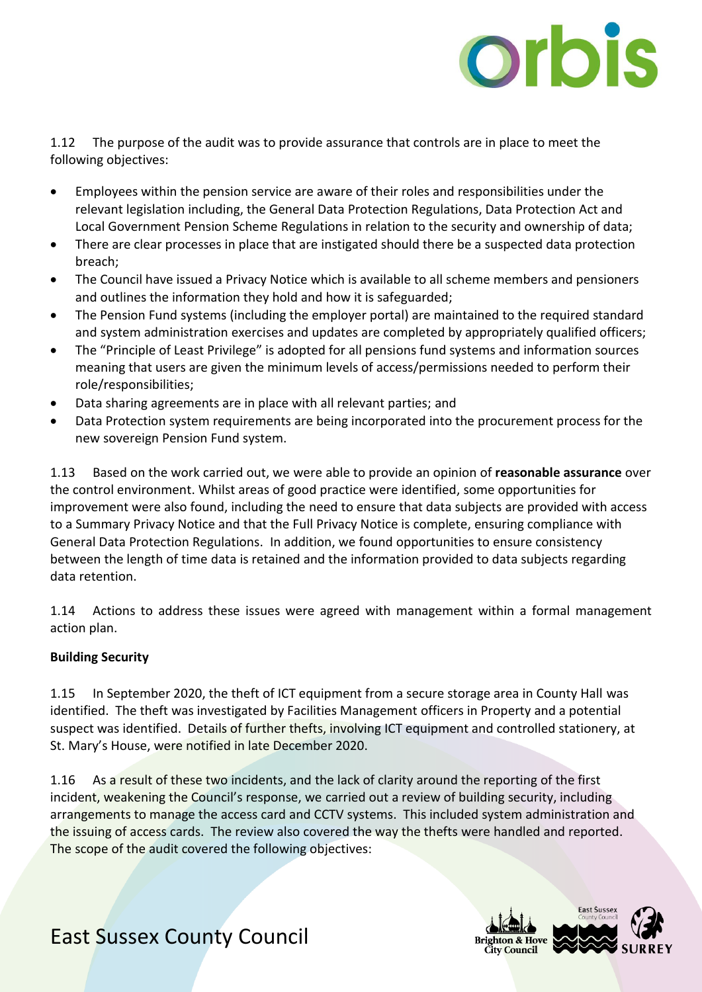

1.12 The purpose of the audit was to provide assurance that controls are in place to meet the following objectives:

- Employees within the pension service are aware of their roles and responsibilities under the relevant legislation including, the General Data Protection Regulations, Data Protection Act and Local Government Pension Scheme Regulations in relation to the security and ownership of data;
- There are clear processes in place that are instigated should there be a suspected data protection breach;
- The Council have issued a Privacy Notice which is available to all scheme members and pensioners and outlines the information they hold and how it is safeguarded;
- The Pension Fund systems (including the employer portal) are maintained to the required standard and system administration exercises and updates are completed by appropriately qualified officers;
- The "Principle of Least Privilege" is adopted for all pensions fund systems and information sources meaning that users are given the minimum levels of access/permissions needed to perform their role/responsibilities;
- Data sharing agreements are in place with all relevant parties; and
- Data Protection system requirements are being incorporated into the procurement process for the new sovereign Pension Fund system.

1.13 Based on the work carried out, we were able to provide an opinion of **reasonable assurance** over the control environment. Whilst areas of good practice were identified, some opportunities for improvement were also found, including the need to ensure that data subjects are provided with access to a Summary Privacy Notice and that the Full Privacy Notice is complete, ensuring compliance with General Data Protection Regulations. In addition, we found opportunities to ensure consistency between the length of time data is retained and the information provided to data subjects regarding data retention.

1.14 Actions to address these issues were agreed with management within a formal management action plan.

#### **Building Security**

1.15 In September 2020, the theft of ICT equipment from a secure storage area in County Hall was identified. The theft was investigated by Facilities Management officers in Property and a potential suspect was identified. Details of further thefts, involving ICT equipment and controlled stationery, at St. Mary's House, were notified in late December 2020.

1.16 As a result of these two incidents, and the lack of clarity around the reporting of the first incident, weakening the Council's response, we carried out a review of building security, including arrangements to manage the access card and CCTV systems. This included system administration and the issuing of access cards. The review also covered the way the thefts were handled and reported. The scope of the audit covered the following objectives:

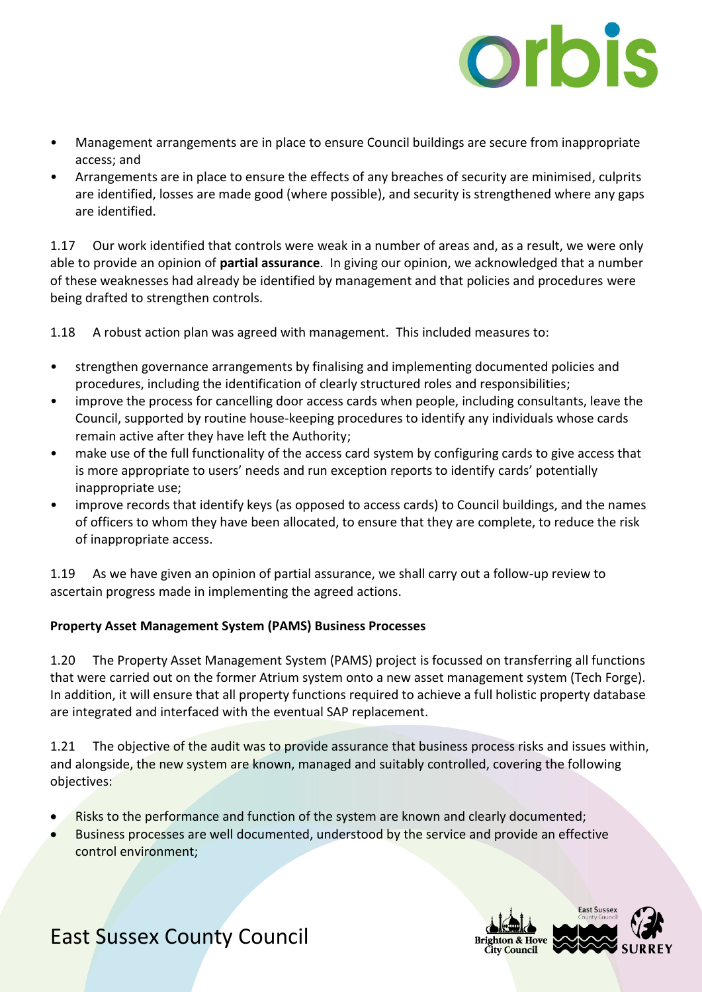

- Management arrangements are in place to ensure Council buildings are secure from inappropriate access; and
- Arrangements are in place to ensure the effects of any breaches of security are minimised, culprits are identified, losses are made good (where possible), and security is strengthened where any gaps are identified.

1.17 Our work identified that controls were weak in a number of areas and, as a result, we were only able to provide an opinion of **partial assurance**. In giving our opinion, we acknowledged that a number of these weaknesses had already be identified by management and that policies and procedures were being drafted to strengthen controls.

1.18 A robust action plan was agreed with management. This included measures to:

- strengthen governance arrangements by finalising and implementing documented policies and procedures, including the identification of clearly structured roles and responsibilities;
- improve the process for cancelling door access cards when people, including consultants, leave the Council, supported by routine house-keeping procedures to identify any individuals whose cards remain active after they have left the Authority;
- make use of the full functionality of the access card system by configuring cards to give access that is more appropriate to users' needs and run exception reports to identify cards' potentially inappropriate use;
- improve records that identify keys (as opposed to access cards) to Council buildings, and the names of officers to whom they have been allocated, to ensure that they are complete, to reduce the risk of inappropriate access.

1.19 As we have given an opinion of partial assurance, we shall carry out a follow-up review to ascertain progress made in implementing the agreed actions.

#### **Property Asset Management System (PAMS) Business Processes**

1.20 The Property Asset Management System (PAMS) project is focussed on transferring all functions that were carried out on the former Atrium system onto a new asset management system (Tech Forge). In addition, it will ensure that all property functions required to achieve a full holistic property database are integrated and interfaced with the eventual SAP replacement.

1.21 The objective of the audit was to provide assurance that business process risks and issues within, and alongside, the new system are known, managed and suitably controlled, covering the following objectives:

- Risks to the performance and function of the system are known and clearly documented;
- Business processes are well documented, understood by the service and provide an effective control environment;

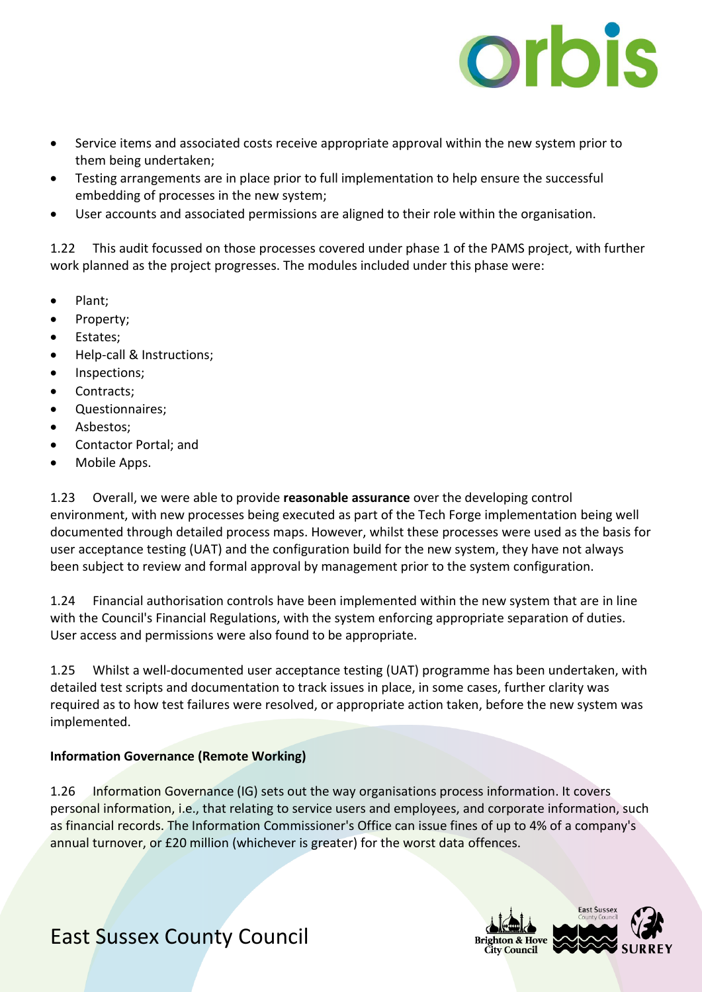

- Service items and associated costs receive appropriate approval within the new system prior to them being undertaken;
- Testing arrangements are in place prior to full implementation to help ensure the successful embedding of processes in the new system;
- User accounts and associated permissions are aligned to their role within the organisation.

1.22 This audit focussed on those processes covered under phase 1 of the PAMS project, with further work planned as the project progresses. The modules included under this phase were:

- Plant;
- Property;
- Estates;
- Help-call & Instructions;
- Inspections:
- Contracts;
- Questionnaires;
- Asbestos;
- Contactor Portal; and
- Mobile Apps.

1.23 Overall, we were able to provide **reasonable assurance** over the developing control environment, with new processes being executed as part of the Tech Forge implementation being well documented through detailed process maps. However, whilst these processes were used as the basis for user acceptance testing (UAT) and the configuration build for the new system, they have not always been subject to review and formal approval by management prior to the system configuration.

1.24 Financial authorisation controls have been implemented within the new system that are in line with the Council's Financial Regulations, with the system enforcing appropriate separation of duties. User access and permissions were also found to be appropriate.

1.25 Whilst a well-documented user acceptance testing (UAT) programme has been undertaken, with detailed test scripts and documentation to track issues in place, in some cases, further clarity was required as to how test failures were resolved, or appropriate action taken, before the new system was implemented.

#### **Information Governance (Remote Working)**

1.26 Information Governance (IG) sets out the way organisations process information. It covers personal information, i.e., that relating to service users and employees, and corporate information, such as financial records. The Information Commissioner's Office can issue fines of up to 4% of a company's annual turnover, or £20 million (whichever is greater) for the worst data offences.

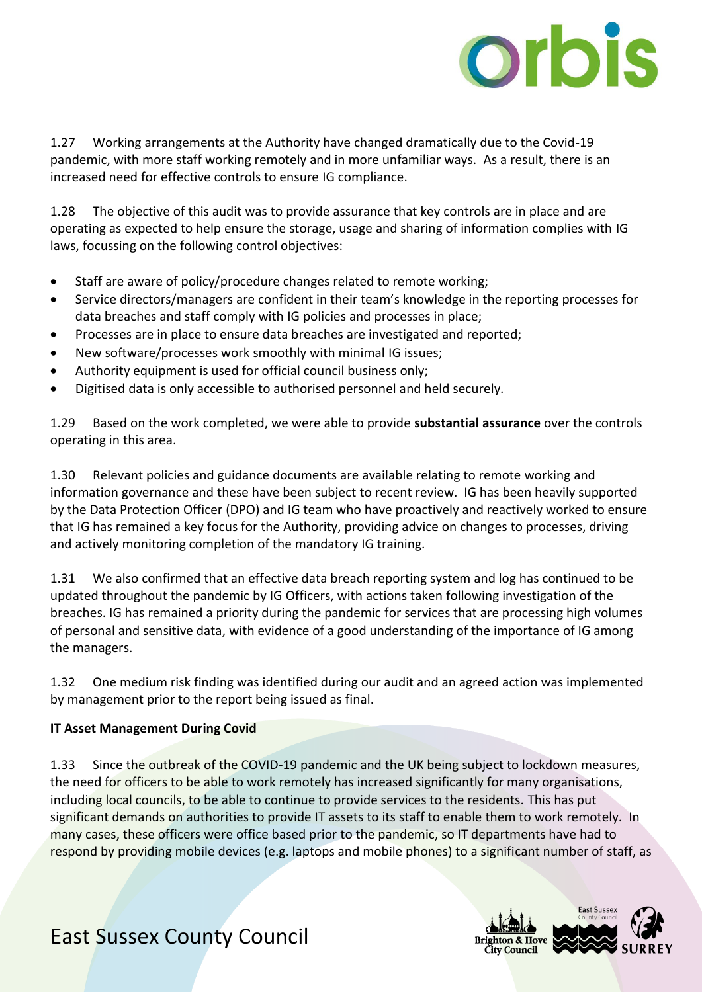

1.27 Working arrangements at the Authority have changed dramatically due to the Covid-19 pandemic, with more staff working remotely and in more unfamiliar ways. As a result, there is an increased need for effective controls to ensure IG compliance.

1.28 The objective of this audit was to provide assurance that key controls are in place and are operating as expected to help ensure the storage, usage and sharing of information complies with IG laws, focussing on the following control objectives:

- Staff are aware of policy/procedure changes related to remote working;
- Service directors/managers are confident in their team's knowledge in the reporting processes for data breaches and staff comply with IG policies and processes in place;
- Processes are in place to ensure data breaches are investigated and reported;
- New software/processes work smoothly with minimal IG issues;
- Authority equipment is used for official council business only;
- Digitised data is only accessible to authorised personnel and held securely.

1.29 Based on the work completed, we were able to provide **substantial assurance** over the controls operating in this area.

1.30 Relevant policies and guidance documents are available relating to remote working and information governance and these have been subject to recent review. IG has been heavily supported by the Data Protection Officer (DPO) and IG team who have proactively and reactively worked to ensure that IG has remained a key focus for the Authority, providing advice on changes to processes, driving and actively monitoring completion of the mandatory IG training.

1.31 We also confirmed that an effective data breach reporting system and log has continued to be updated throughout the pandemic by IG Officers, with actions taken following investigation of the breaches. IG has remained a priority during the pandemic for services that are processing high volumes of personal and sensitive data, with evidence of a good understanding of the importance of IG among the managers.

1.32 One medium risk finding was identified during our audit and an agreed action was implemented by management prior to the report being issued as final.

#### **IT Asset Management During Covid**

1.33 Since the outbreak of the COVID-19 pandemic and the UK being subject to lockdown measures, the need for officers to be able to work remotely has increased significantly for many organisations, including local councils, to be able to continue to provide services to the residents. This has put significant demands on authorities to provide IT assets to its staff to enable them to work remotely. In many cases, these officers were office based prior to the pandemic, so IT departments have had to respond by providing mobile devices (e.g. laptops and mobile phones) to a significant number of staff, as

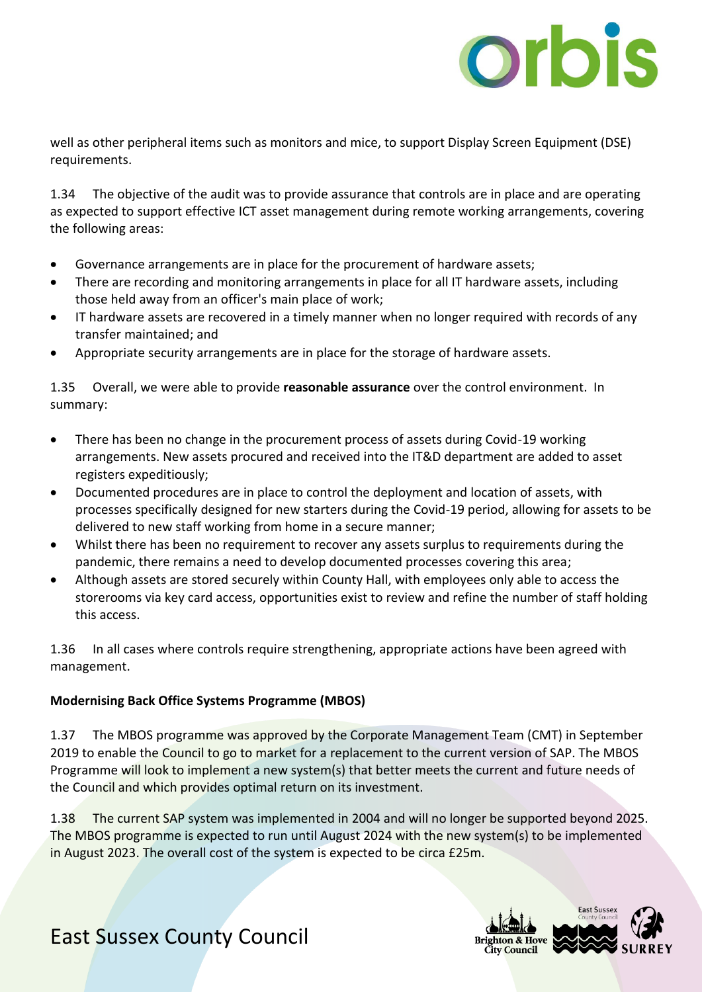

well as other peripheral items such as monitors and mice, to support Display Screen Equipment (DSE) requirements.

1.34 The objective of the audit was to provide assurance that controls are in place and are operating as expected to support effective ICT asset management during remote working arrangements, covering the following areas:

- Governance arrangements are in place for the procurement of hardware assets;
- There are recording and monitoring arrangements in place for all IT hardware assets, including those held away from an officer's main place of work;
- IT hardware assets are recovered in a timely manner when no longer required with records of any transfer maintained; and
- Appropriate security arrangements are in place for the storage of hardware assets.

1.35 Overall, we were able to provide **reasonable assurance** over the control environment. In summary:

- There has been no change in the procurement process of assets during Covid-19 working arrangements. New assets procured and received into the IT&D department are added to asset registers expeditiously;
- Documented procedures are in place to control the deployment and location of assets, with processes specifically designed for new starters during the Covid-19 period, allowing for assets to be delivered to new staff working from home in a secure manner;
- Whilst there has been no requirement to recover any assets surplus to requirements during the pandemic, there remains a need to develop documented processes covering this area;
- Although assets are stored securely within County Hall, with employees only able to access the storerooms via key card access, opportunities exist to review and refine the number of staff holding this access.

1.36 In all cases where controls require strengthening, appropriate actions have been agreed with management.

#### **Modernising Back Office Systems Programme (MBOS)**

1.37 The MBOS programme was approved by the Corporate Management Team (CMT) in September 2019 to enable the Council to go to market for a replacement to the current version of SAP. The MBOS Programme will look to implement a new system(s) that better meets the current and future needs of the Council and which provides optimal return on its investment.

1.38 The current SAP system was implemented in 2004 and will no longer be supported beyond 2025. The MBOS programme is expected to run until August 2024 with the new system(s) to be implemented in August 2023. The overall cost of the system is expected to be circa £25m.

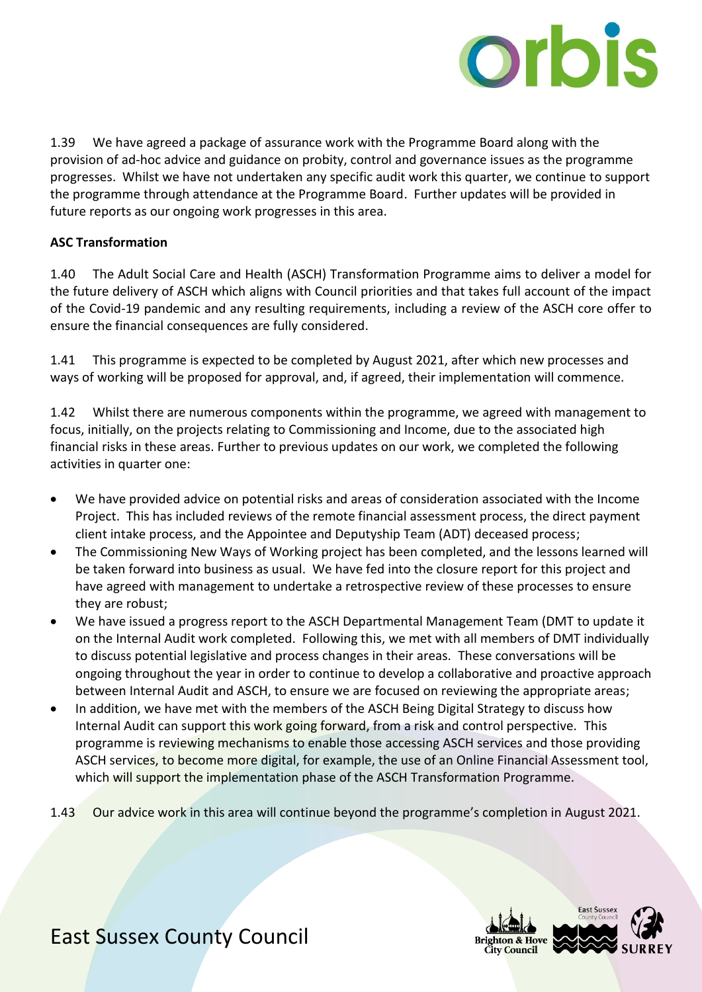

1.39 We have agreed a package of assurance work with the Programme Board along with the provision of ad-hoc advice and guidance on probity, control and governance issues as the programme progresses. Whilst we have not undertaken any specific audit work this quarter, we continue to support the programme through attendance at the Programme Board. Further updates will be provided in future reports as our ongoing work progresses in this area.

#### **ASC Transformation**

1.40 The Adult Social Care and Health (ASCH) Transformation Programme aims to deliver a model for the future delivery of ASCH which aligns with Council priorities and that takes full account of the impact of the Covid-19 pandemic and any resulting requirements, including a review of the ASCH core offer to ensure the financial consequences are fully considered.

1.41 This programme is expected to be completed by August 2021, after which new processes and ways of working will be proposed for approval, and, if agreed, their implementation will commence.

1.42 Whilst there are numerous components within the programme, we agreed with management to focus, initially, on the projects relating to Commissioning and Income, due to the associated high financial risks in these areas. Further to previous updates on our work, we completed the following activities in quarter one:

- We have provided advice on potential risks and areas of consideration associated with the Income Project. This has included reviews of the remote financial assessment process, the direct payment client intake process, and the Appointee and Deputyship Team (ADT) deceased process;
- The Commissioning New Ways of Working project has been completed, and the lessons learned will be taken forward into business as usual. We have fed into the closure report for this project and have agreed with management to undertake a retrospective review of these processes to ensure they are robust;
- We have issued a progress report to the ASCH Departmental Management Team (DMT to update it on the Internal Audit work completed. Following this, we met with all members of DMT individually to discuss potential legislative and process changes in their areas. These conversations will be ongoing throughout the year in order to continue to develop a collaborative and proactive approach between Internal Audit and ASCH, to ensure we are focused on reviewing the appropriate areas;
- In addition, we have met with the members of the ASCH Being Digital Strategy to discuss how Internal Audit can support this work going forward, from a risk and control perspective. This programme is reviewing mechanisms to enable those accessing ASCH services and those providing ASCH services, to become more digital, for example, the use of an Online Financial Assessment tool, which will support the implementation phase of the ASCH Transformation Programme.
- 1.43 Our advice work in this area will continue beyond the programme's completion in August 2021.

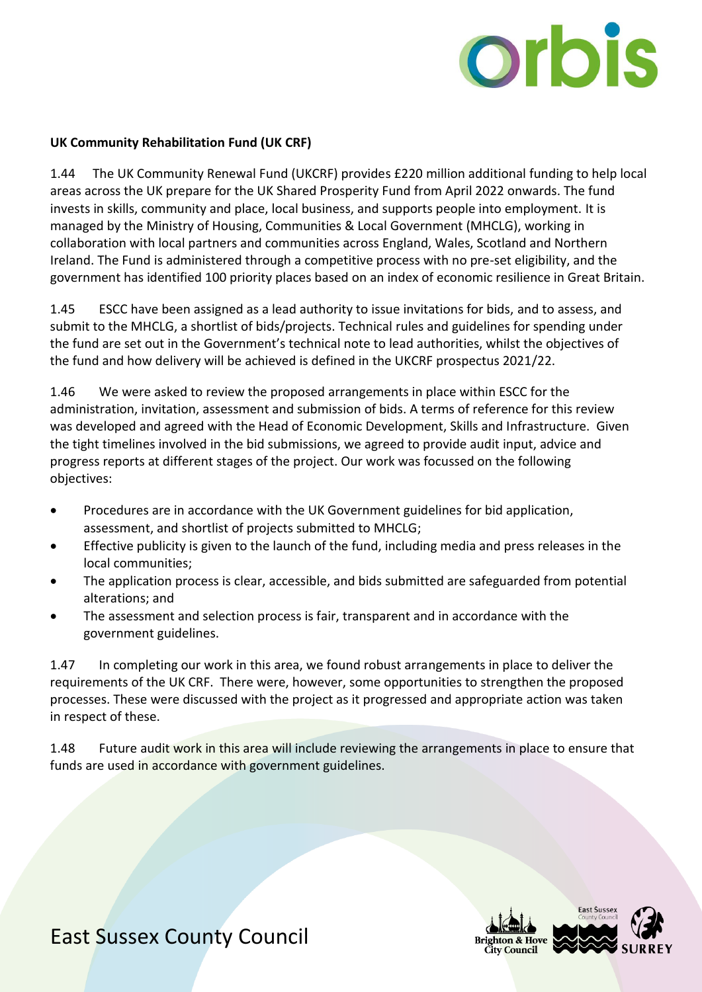

#### **UK Community Rehabilitation Fund (UK CRF)**

1.44 The UK Community Renewal Fund (UKCRF) provides £220 million additional funding to help local areas across the UK prepare for the UK Shared Prosperity Fund from April 2022 onwards. The fund invests in skills, community and place, local business, and supports people into employment. It is managed by the Ministry of Housing, Communities & Local Government (MHCLG), working in collaboration with local partners and communities across England, Wales, Scotland and Northern Ireland. The Fund is administered through a competitive process with no pre-set eligibility, and the government has identified 100 priority places based on an index of economic resilience in Great Britain.

1.45 ESCC have been assigned as a lead authority to issue invitations for bids, and to assess, and submit to the MHCLG, a shortlist of bids/projects. Technical rules and guidelines for spending under the fund are set out in the Government's technical note to lead authorities, whilst the objectives of the fund and how delivery will be achieved is defined in the UKCRF prospectus 2021/22.

1.46 We were asked to review the proposed arrangements in place within ESCC for the administration, invitation, assessment and submission of bids. A terms of reference for this review was developed and agreed with the Head of Economic Development, Skills and Infrastructure. Given the tight timelines involved in the bid submissions, we agreed to provide audit input, advice and progress reports at different stages of the project. Our work was focussed on the following objectives:

- Procedures are in accordance with the UK Government guidelines for bid application, assessment, and shortlist of projects submitted to MHCLG;
- Effective publicity is given to the launch of the fund, including media and press releases in the local communities;
- The application process is clear, accessible, and bids submitted are safeguarded from potential alterations; and
- The assessment and selection process is fair, transparent and in accordance with the government guidelines.

1.47 In completing our work in this area, we found robust arrangements in place to deliver the requirements of the UK CRF. There were, however, some opportunities to strengthen the proposed processes. These were discussed with the project as it progressed and appropriate action was taken in respect of these.

1.48 Future audit work in this area will include reviewing the arrangements in place to ensure that funds are used in accordance with government guidelines.

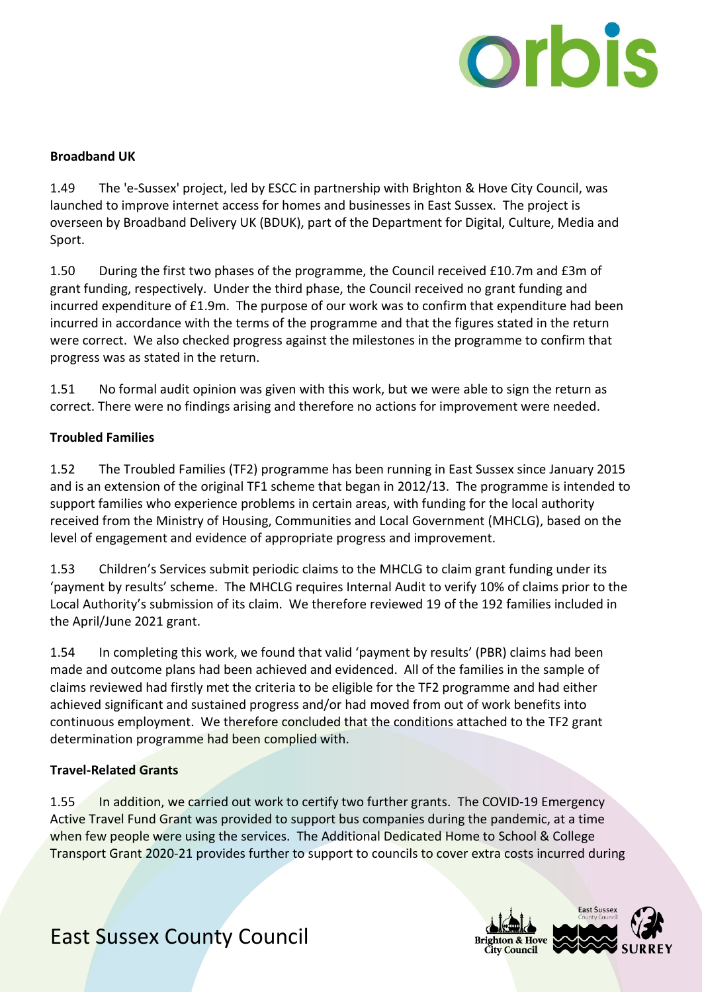

#### **Broadband UK**

1.49 The 'e-Sussex' project, led by ESCC in partnership with Brighton & Hove City Council, was launched to improve internet access for homes and businesses in East Sussex. The project is overseen by Broadband Delivery UK (BDUK), part of the Department for Digital, Culture, Media and Sport.

1.50 During the first two phases of the programme, the Council received £10.7m and £3m of grant funding, respectively. Under the third phase, the Council received no grant funding and incurred expenditure of £1.9m. The purpose of our work was to confirm that expenditure had been incurred in accordance with the terms of the programme and that the figures stated in the return were correct. We also checked progress against the milestones in the programme to confirm that progress was as stated in the return.

1.51 No formal audit opinion was given with this work, but we were able to sign the return as correct. There were no findings arising and therefore no actions for improvement were needed.

#### **Troubled Families**

1.52 The Troubled Families (TF2) programme has been running in East Sussex since January 2015 and is an extension of the original TF1 scheme that began in 2012/13. The programme is intended to support families who experience problems in certain areas, with funding for the local authority received from the Ministry of Housing, Communities and Local Government (MHCLG), based on the level of engagement and evidence of appropriate progress and improvement.

1.53 Children's Services submit periodic claims to the MHCLG to claim grant funding under its 'payment by results' scheme. The MHCLG requires Internal Audit to verify 10% of claims prior to the Local Authority's submission of its claim. We therefore reviewed 19 of the 192 families included in the April/June 2021 grant.

1.54 In completing this work, we found that valid 'payment by results' (PBR) claims had been made and outcome plans had been achieved and evidenced. All of the families in the sample of claims reviewed had firstly met the criteria to be eligible for the TF2 programme and had either achieved significant and sustained progress and/or had moved from out of work benefits into continuous employment. We therefore concluded that the conditions attached to the TF2 grant determination programme had been complied with.

#### **Travel-Related Grants**

1.55 In addition, we carried out work to certify two further grants. The COVID-19 Emergency Active Travel Fund Grant was provided to support bus companies during the pandemic, at a time when few people were using the services. The Additional Dedicated Home to School & College Transport Grant 2020-21 provides further to support to councils to cover extra costs incurred during

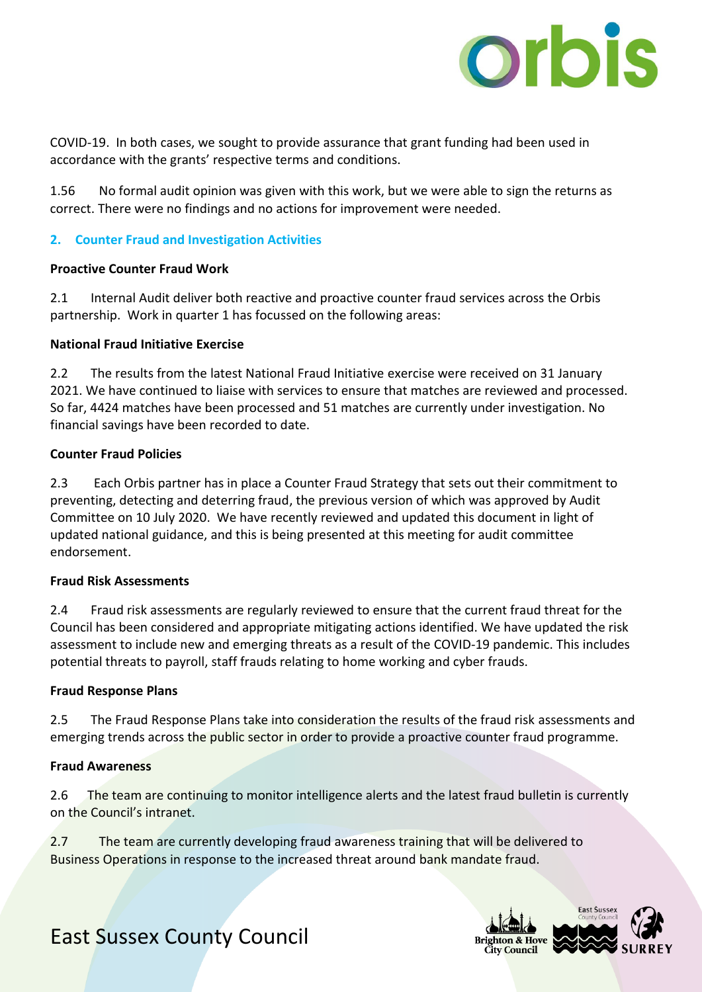

COVID-19. In both cases, we sought to provide assurance that grant funding had been used in accordance with the grants' respective terms and conditions.

1.56 No formal audit opinion was given with this work, but we were able to sign the returns as correct. There were no findings and no actions for improvement were needed.

#### **2. Counter Fraud and Investigation Activities**

#### **Proactive Counter Fraud Work**

2.1 Internal Audit deliver both reactive and proactive counter fraud services across the Orbis partnership. Work in quarter 1 has focussed on the following areas:

#### **National Fraud Initiative Exercise**

2.2 The results from the latest National Fraud Initiative exercise were received on 31 January 2021. We have continued to liaise with services to ensure that matches are reviewed and processed. So far, 4424 matches have been processed and 51 matches are currently under investigation. No financial savings have been recorded to date.

#### **Counter Fraud Policies**

2.3 Each Orbis partner has in place a Counter Fraud Strategy that sets out their commitment to preventing, detecting and deterring fraud, the previous version of which was approved by Audit Committee on 10 July 2020. We have recently reviewed and updated this document in light of updated national guidance, and this is being presented at this meeting for audit committee endorsement.

#### **Fraud Risk Assessments**

2.4 Fraud risk assessments are regularly reviewed to ensure that the current fraud threat for the Council has been considered and appropriate mitigating actions identified. We have updated the risk assessment to include new and emerging threats as a result of the COVID-19 pandemic. This includes potential threats to payroll, staff frauds relating to home working and cyber frauds.

#### **Fraud Response Plans**

2.5 The Fraud Response Plans take into consideration the results of the fraud risk assessments and emerging trends across the public sector in order to provide a proactive counter fraud programme.

#### **Fraud Awareness**

2.6 The team are continuing to monitor intelligence alerts and the latest fraud bulletin is currently on the Council's intranet.

2.7 The team are currently developing fraud awareness training that will be delivered to Business Operations in response to the increased threat around bank mandate fraud.

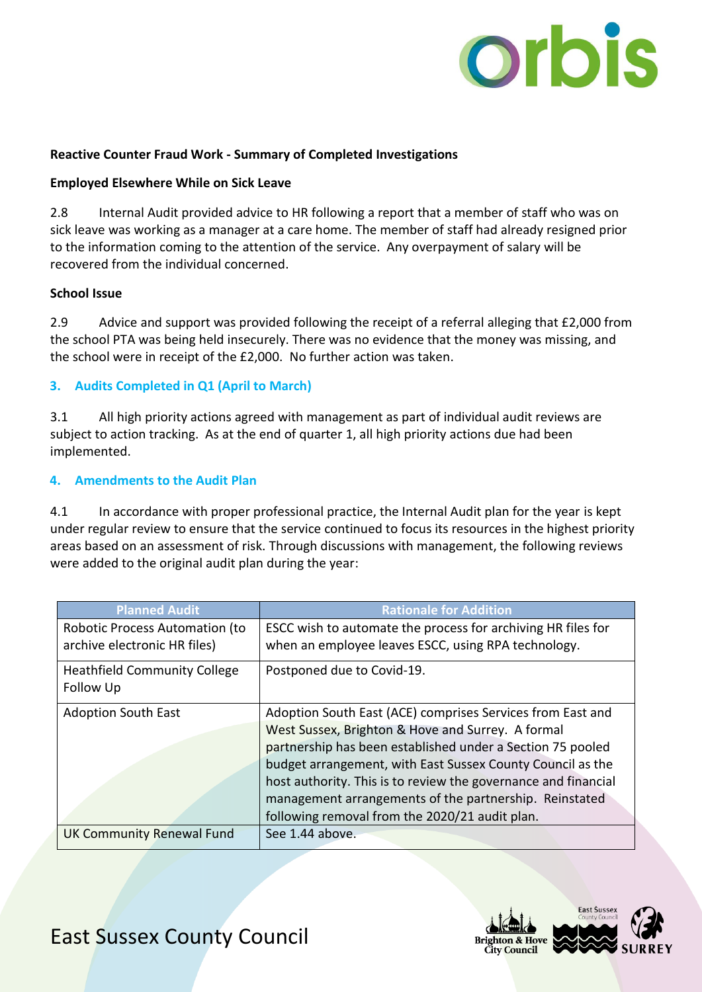

#### **Reactive Counter Fraud Work - Summary of Completed Investigations**

#### **Employed Elsewhere While on Sick Leave**

2.8 Internal Audit provided advice to HR following a report that a member of staff who was on sick leave was working as a manager at a care home. The member of staff had already resigned prior to the information coming to the attention of the service. Any overpayment of salary will be recovered from the individual concerned.

#### **School Issue**

2.9 Advice and support was provided following the receipt of a referral alleging that £2,000 from the school PTA was being held insecurely. There was no evidence that the money was missing, and the school were in receipt of the £2,000. No further action was taken.

#### **3. Audits Completed in Q1 (April to March)**

3.1 All high priority actions agreed with management as part of individual audit reviews are subject to action tracking. As at the end of quarter 1, all high priority actions due had been implemented.

#### **4. Amendments to the Audit Plan**

4.1 In accordance with proper professional practice, the Internal Audit plan for the year is kept under regular review to ensure that the service continued to focus its resources in the highest priority areas based on an assessment of risk. Through discussions with management, the following reviews were added to the original audit plan during the year:

| <b>Planned Audit</b>                                           | <b>Rationale for Addition</b>                                                                                                                                                                                                                                                                                                                                           |
|----------------------------------------------------------------|-------------------------------------------------------------------------------------------------------------------------------------------------------------------------------------------------------------------------------------------------------------------------------------------------------------------------------------------------------------------------|
| Robotic Process Automation (to<br>archive electronic HR files) | ESCC wish to automate the process for archiving HR files for<br>when an employee leaves ESCC, using RPA technology.                                                                                                                                                                                                                                                     |
| <b>Heathfield Community College</b><br>Follow Up               | Postponed due to Covid-19.                                                                                                                                                                                                                                                                                                                                              |
| <b>Adoption South East</b>                                     | Adoption South East (ACE) comprises Services from East and<br>West Sussex, Brighton & Hove and Surrey. A formal<br>partnership has been established under a Section 75 pooled<br>budget arrangement, with East Sussex County Council as the<br>host authority. This is to review the governance and financial<br>management arrangements of the partnership. Reinstated |
| UK Community Renewal Fund                                      | following removal from the 2020/21 audit plan.<br>See 1.44 above.                                                                                                                                                                                                                                                                                                       |

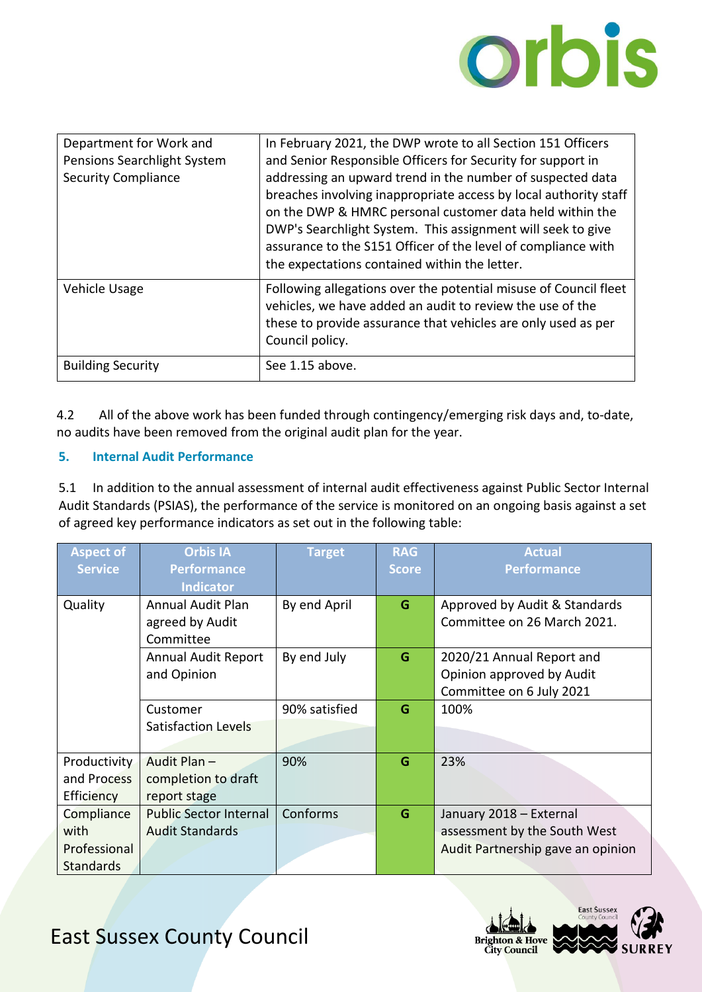

| Department for Work and<br>Pensions Searchlight System<br><b>Security Compliance</b> | In February 2021, the DWP wrote to all Section 151 Officers<br>and Senior Responsible Officers for Security for support in<br>addressing an upward trend in the number of suspected data<br>breaches involving inappropriate access by local authority staff<br>on the DWP & HMRC personal customer data held within the<br>DWP's Searchlight System. This assignment will seek to give<br>assurance to the S151 Officer of the level of compliance with<br>the expectations contained within the letter. |
|--------------------------------------------------------------------------------------|-----------------------------------------------------------------------------------------------------------------------------------------------------------------------------------------------------------------------------------------------------------------------------------------------------------------------------------------------------------------------------------------------------------------------------------------------------------------------------------------------------------|
| Vehicle Usage                                                                        | Following allegations over the potential misuse of Council fleet<br>vehicles, we have added an audit to review the use of the<br>these to provide assurance that vehicles are only used as per<br>Council policy.                                                                                                                                                                                                                                                                                         |
| <b>Building Security</b>                                                             | See 1.15 above.                                                                                                                                                                                                                                                                                                                                                                                                                                                                                           |

4.2 All of the above work has been funded through contingency/emerging risk days and, to-date, no audits have been removed from the original audit plan for the year.

#### **5. Internal Audit Performance**

5.1 In addition to the annual assessment of internal audit effectiveness against Public Sector Internal Audit Standards (PSIAS), the performance of the service is monitored on an ongoing basis against a set of agreed key performance indicators as set out in the following table:

| <b>Aspect of</b><br><b>Service</b>                     | <b>Orbis IA</b><br><b>Performance</b><br><b>Indicator</b> | <b>Target</b> | <b>RAG</b><br><b>Score</b> | <b>Actual</b><br><b>Performance</b>                                                          |
|--------------------------------------------------------|-----------------------------------------------------------|---------------|----------------------------|----------------------------------------------------------------------------------------------|
| Quality                                                | <b>Annual Audit Plan</b><br>agreed by Audit<br>Committee  | By end April  | G                          | Approved by Audit & Standards<br>Committee on 26 March 2021.                                 |
|                                                        | <b>Annual Audit Report</b><br>and Opinion                 | By end July   | G                          | 2020/21 Annual Report and<br>Opinion approved by Audit<br>Committee on 6 July 2021           |
|                                                        | Customer<br>Satisfaction Levels                           | 90% satisfied | G                          | 100%                                                                                         |
| Productivity<br>and Process<br><b>Efficiency</b>       | Audit Plan-<br>completion to draft<br>report stage        | 90%           | G                          | 23%                                                                                          |
| Compliance<br>with<br>Professional<br><b>Standards</b> | <b>Public Sector Internal</b><br><b>Audit Standards</b>   | Conforms      | G                          | January 2018 - External<br>assessment by the South West<br>Audit Partnership gave an opinion |

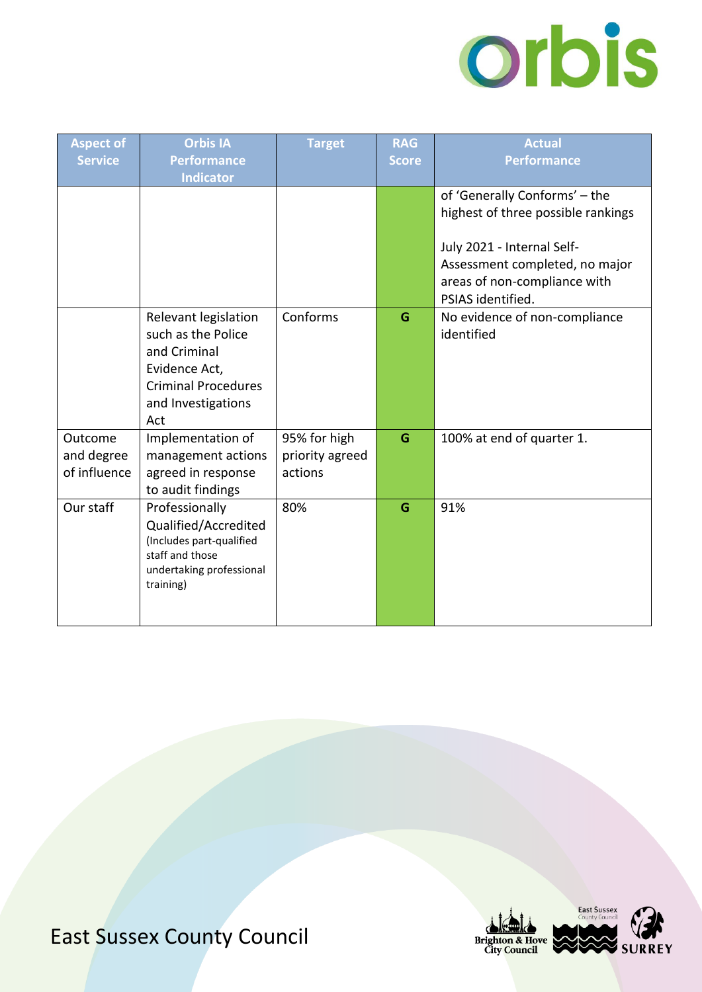

| <b>Aspect of</b><br><b>Service</b>    | <b>Orbis IA</b><br><b>Performance</b><br><b>Indicator</b>                                                                              | <b>Target</b>                              | <b>RAG</b><br><b>Score</b> | <b>Actual</b><br><b>Performance</b>                                                                               |
|---------------------------------------|----------------------------------------------------------------------------------------------------------------------------------------|--------------------------------------------|----------------------------|-------------------------------------------------------------------------------------------------------------------|
|                                       |                                                                                                                                        |                                            |                            | of 'Generally Conforms' - the<br>highest of three possible rankings                                               |
|                                       |                                                                                                                                        |                                            |                            | July 2021 - Internal Self-<br>Assessment completed, no major<br>areas of non-compliance with<br>PSIAS identified. |
|                                       | Relevant legislation<br>such as the Police<br>and Criminal<br>Evidence Act,<br><b>Criminal Procedures</b><br>and Investigations<br>Act | Conforms                                   | G                          | No evidence of non-compliance<br>identified                                                                       |
| Outcome<br>and degree<br>of influence | Implementation of<br>management actions<br>agreed in response<br>to audit findings                                                     | 95% for high<br>priority agreed<br>actions | G                          | 100% at end of quarter 1.                                                                                         |
| Our staff                             | Professionally<br>Qualified/Accredited<br>(Includes part-qualified<br>staff and those<br>undertaking professional<br>training)         | 80%                                        | G                          | 91%                                                                                                               |